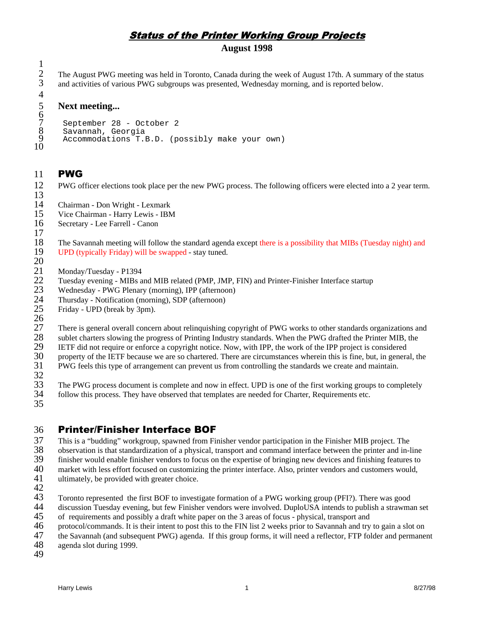## **Status of the Printer Working Group Projects**

## **August 1998**

2 3 4 The August PWG meeting was held in Toronto, Canada during the week of August 17th. A summary of the status and activities of various PWG subgroups was presented, Wednesday morning, and is reported below.

### **Next meeting...**

```
6
 7
 8
 9
10
       September 28 - October 2
       Savannah, Georgia
       Accommodations T.B.D. (possibly make your own)
```
#### 11 **PWG**

1

5

17

20

12 13 PWG officer elections took place per the new PWG process. The following officers were elected into a 2 year term.

14 Chairman - Don Wright - Lexmark

- 15 Vice Chairman - Harry Lewis - IBM
- 16 Secretary - Lee Farrell - Canon
- 18 19 The Savannah meeting will follow the standard agenda except there is a possibility that MIBs (Tuesday night) and UPD (typically Friday) will be swapped - stay tuned.
- 21 Monday/Tuesday - P1394
- 22 Tuesday evening - MIBs and MIB related (PMP, JMP, FIN) and Printer-Finisher Interface startup
- 23 Wednesday - PWG Plenary (morning), IPP (afternoon)
- 24 Thursday - Notification (morning), SDP (afternoon)
- 25 26 Friday - UPD (break by 3pm).

27 28 There is general overall concern about relinquishing copyright of PWG works to other standards organizations and

- 29 sublet charters slowing the progress of Printing Industry standards. When the PWG drafted the Printer MIB, the IETF did not require or enforce a copyright notice. Now, with IPP, the work of the IPP project is considered
- 30 property of the IETF because we are so chartered. There are circumstances wherein this is fine, but, in general, the
- 31 PWG feels this type of arrangement can prevent us from controlling the standards we create and maintain.
- 32 33 The PWG process document is complete and now in effect. UPD is one of the first working groups to completely
- 34 follow this process. They have observed that templates are needed for Charter, Requirements etc.
- 35

#### 36 **Printer/Finisher Interface BOF**

37 38 39 40 41 This is a "budding" workgroup, spawned from Finisher vendor participation in the Finisher MIB project. The observation is that standardization of a physical, transport and command interface between the printer and in-line finisher would enable finisher vendors to focus on the expertise of bringing new devices and finishing features to market with less effort focused on customizing the printer interface. Also, printer vendors and customers would, ultimately, be provided with greater choice.

- 42
- 43 44 Toronto represented the first BOF to investigate formation of a PWG working group (PFI?). There was good discussion Tuesday evening, but few Finisher vendors were involved. DuploUSA intends to publish a strawman set
- 45 of requirements and possibly a draft white paper on the 3 areas of focus - physical, transport and
- 46 protocol/commands. It is their intent to post this to the FIN list 2 weeks prior to Savannah and try to gain a slot on
- 47 the Savannah (and subsequent PWG) agenda. If this group forms, it will need a reflector, FTP folder and permanent
- 48 agenda slot during 1999.
- 49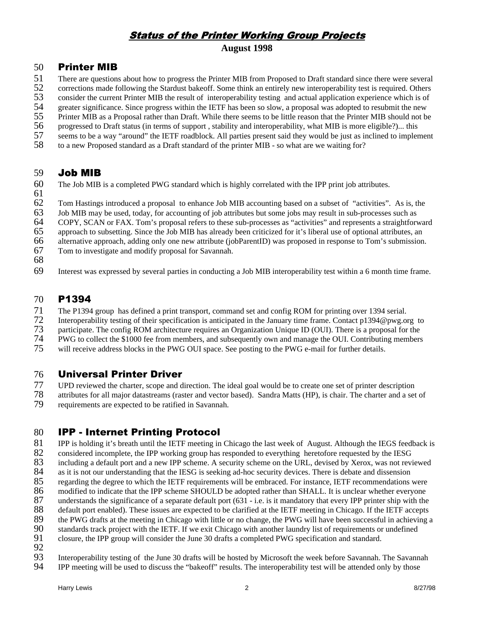## **Status of the Printer Working Group Projects**

### **August 1998**

#### 50 **Printer MIB**

- 51 There are questions about how to progress the Printer MIB from Proposed to Draft standard since there were several
- 52 corrections made following the Stardust bakeoff. Some think an entirely new interoperability test is required. Others
- 53 consider the current Printer MIB the result of interoperability testing and actual application experience which is of
- 54 greater significance. Since progress within the IETF has been so slow, a proposal was adopted to resubmit the new
- 55 56 Printer MIB as a Proposal rather than Draft. While there seems to be little reason that the Printer MIB should not be
- 57 progressed to Draft status (in terms of support , stability and interoperability, what MIB is more eligible?)... this seems to be a way "around" the IETF roadblock. All parties present said they would be just as inclined to implement
- 58 to a new Proposed standard as a Draft standard of the printer MIB - so what are we waiting for?

#### 59 Job MIB

- 60 The Job MIB is a completed PWG standard which is highly correlated with the IPP print job attributes.
- 61

62 Tom Hastings introduced a proposal to enhance Job MIB accounting based on a subset of "activities". As is, the

63 Job MIB may be used, today, for accounting of job attributes but some jobs may result in sub-processes such as

- 64 COPY, SCAN or FAX. Tom's proposal refers to these sub-processes as "activities" and represents a straightforward
- 65 approach to subsetting. Since the Job MIB has already been criticized for it's liberal use of optional attributes, an
- 66 alternative approach, adding only one new attribute (jobParentID) was proposed in response to Tom's submission.
- 67 Tom to investigate and modify proposal for Savannah.
- 68
- 69 Interest was expressed by several parties in conducting a Job MIB interoperability test within a 6 month time frame.

#### 70 P1394

- 71 The P1394 group has defined a print transport, command set and config ROM for printing over 1394 serial.
- 72 Interoperability testing of their specification is anticipated in the January time frame. Contact p1394@pwg.org to
- 73 participate. The config ROM architecture requires an Organization Unique ID (OUI). There is a proposal for the
- 74 PWG to collect the \$1000 fee from members, and subsequently own and manage the OUI. Contributing members
- 75 will receive address blocks in the PWG OUI space. See posting to the PWG e-mail for further details.

#### 76 **Universal Printer Driver**

- 77 UPD reviewed the charter, scope and direction. The ideal goal would be to create one set of printer description
- 78 79 attributes for all major datastreams (raster and vector based). Sandra Matts (HP), is chair. The charter and a set of requirements are expected to be ratified in Savannah.

#### 80 IPP - Internet Printing Protocol

81 82 83 84 85 86 87 88 IPP is holding it's breath until the IETF meeting in Chicago the last week of August. Although the IEGS feedback is considered incomplete, the IPP working group has responded to everything heretofore requested by the IESG including a default port and a new IPP scheme. A security scheme on the URL, devised by Xerox, was not reviewed as it is not our understanding that the IESG is seeking ad-hoc security devices. There is debate and dissension regarding the degree to which the IETF requirements will be embraced. For instance, IETF recommendations were modified to indicate that the IPP scheme SHOULD be adopted rather than SHALL. It is unclear whether everyone understands the significance of a separate default port (631 - i.e. is it mandatory that every IPP printer ship with the default port enabled). These issues are expected to be clarified at the IETF meeting in Chicago. If the IETF accepts

- 89 the PWG drafts at the meeting in Chicago with little or no change, the PWG will have been successful in achieving a
- 90 standards track project with the IETF. If we exit Chicago with another laundry list of requirements or undefined
- 91 closure, the IPP group will consider the June 30 drafts a completed PWG specification and standard.
- 92
- 93 94 Interoperability testing of the June 30 drafts will be hosted by Microsoft the week before Savannah. The Savannah IPP meeting will be used to discuss the "bakeoff" results. The interoperability test will be attended only by those